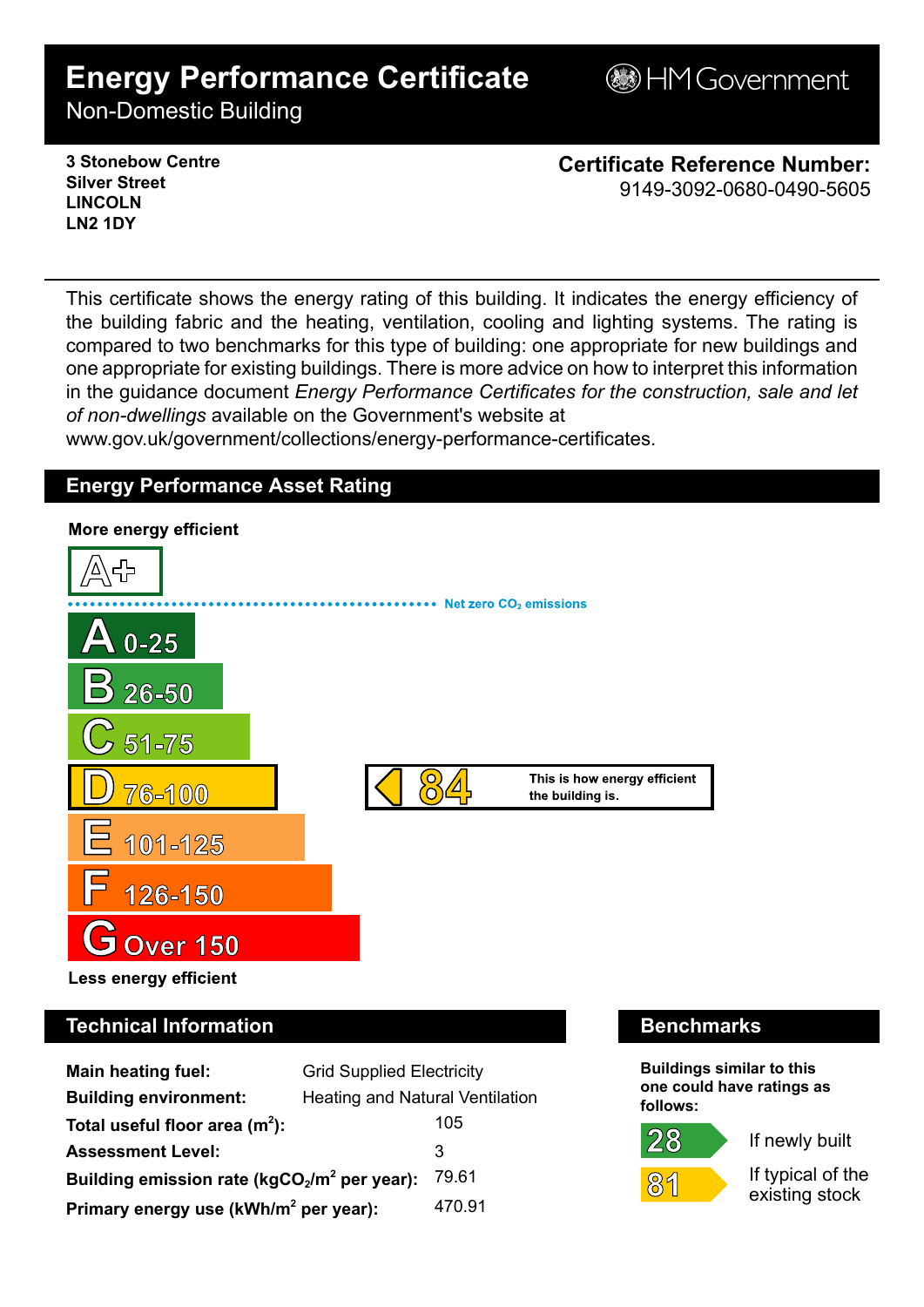# **Energy Performance Certificate**

**BHM Government** 

Non-Domestic Building

**3 Stonebow Centre Silver Street LINCOLN LN2 1DY**

**Certificate Reference Number:** 9149-3092-0680-0490-5605

This certificate shows the energy rating of this building. It indicates the energy efficiency of the building fabric and the heating, ventilation, cooling and lighting systems. The rating is compared to two benchmarks for this type of building: one appropriate for new buildings and one appropriate for existing buildings. There is more advice on how to interpret this information in the guidance document *Energy Performance Certificates for the construction, sale and let of non-dwellings* available on the Government's website at www.gov.uk/government/collections/energy-performance-certificates.

# **Energy Performance Asset Rating**



# **Technical Information Benchmarks**

| <b>Main heating fuel:</b>                         | <b>Grid Supplied Electricity</b>       |        |
|---------------------------------------------------|----------------------------------------|--------|
| <b>Building environment:</b>                      | <b>Heating and Natural Ventilation</b> |        |
| Total useful floor area $(m2)$ :                  |                                        | 105    |
| <b>Assessment Level:</b>                          |                                        | 3      |
| Building emission rate ( $kgCO2/m2$ per year):    |                                        | 79.61  |
| Primary energy use (kWh/m <sup>2</sup> per year): |                                        | 470.91 |

**Buildings similar to this one could have ratings as follows:**

If newly built

 $89$ 

 $28$ 

If typical of the existing stock